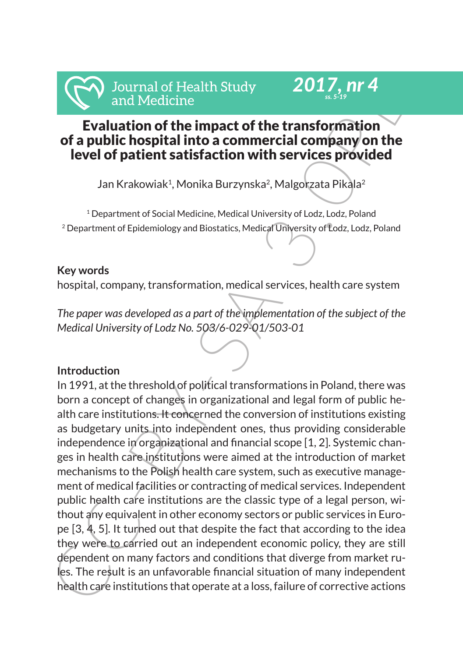

# Evaluation of the impact of the transformation of a public hospital into a commercial company on the level of patient satisfaction with services provided

*2017, nr 4 ss. 5-19*

Jan Krakowiak<sup>1</sup>, Monika Burzynska<sup>2</sup>, Malgorzata Pikala<sup>2</sup>

<sup>1</sup> Department of Social Medicine, Medical University of Lodz, Lodz, Poland 2 Department of Epidemiology and Biostatics, Medical University of Lodz, Lodz, Poland

## **Key words**

hospital, company, transformation, medical services, health care system

*The paper was developed as a part of the implementation of the subject of the Medical University of Lodz No. 503/6-029-01/503-01*

## **Introduction**

Internation of Health Study<br>
In Medicine<br>
Increase and Medicine<br>
In a Medicine<br>
In the impact of the transformation<br>
In a public hospital into a commercial company on the<br>
Ievel of patient satisfaction with services provid In 1991, at the threshold of political transformations in Poland, there was born a concept of changes in organizational and legal form of public health care institutions. It concerned the conversion of institutions existing as budgetary units into independent ones, thus providing considerable independence in organizational and financial scope [1, 2]. Systemic changes in health care institutions were aimed at the introduction of market mechanisms to the Polish health care system, such as executive management of medical facilities or contracting of medical services. Independent public health care institutions are the classic type of a legal person, without any equivalent in other economy sectors or public services in Europe [3, 4, 5]. It turned out that despite the fact that according to the idea they were to carried out an independent economic policy, they are still dependent on many factors and conditions that diverge from market rules. The result is an unfavorable financial situation of many independent health care institutions that operate at a loss, failure of corrective actions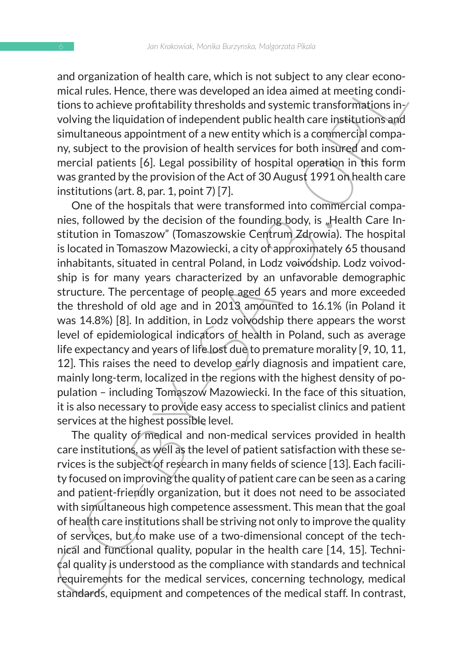and organization of health care, which is not subject to any clear economical rules. Hence, there was developed an idea aimed at meeting conditions to achieve profitability thresholds and systemic transformations involving the liquidation of independent public health care institutions and simultaneous appointment of a new entity which is a commercial company, subject to the provision of health services for both insured and commercial patients [6]. Legal possibility of hospital operation in this form was granted by the provision of the Act of 30 August 1991 on health care institutions (art. 8, par. 1, point 7) [7].

and or ganuatation oriental care, winch is using the anity teach at the anti-<br>ancial rules. Hence, there was developed an idea aimed at meeting conditions to achieve profitability thresholds and systemic transformations i One of the hospitals that were transformed into commercial companies, followed by the decision of the founding body, is "Health Care Institution in Tomaszow" (Tomaszowskie Centrum Zdrowia). The hospital is located in Tomaszow Mazowiecki, a city of approximately 65 thousand inhabitants, situated in central Poland, in Lodz voivodship. Lodz voivodship is for many years characterized by an unfavorable demographic structure. The percentage of people aged 65 years and more exceeded the threshold of old age and in 2013 amounted to 16.1% (in Poland it was 14.8%) [8]. In addition, in Lodz voivodship there appears the worst level of epidemiological indicators of health in Poland, such as average life expectancy and years of life lost due to premature morality [9, 10, 11, 12]. This raises the need to develop early diagnosis and impatient care, mainly long-term, localized in the regions with the highest density of population – including Tomaszow Mazowiecki. In the face of this situation, it is also necessary to provide easy access to specialist clinics and patient services at the highest possible level.

The quality of medical and non-medical services provided in health care institutions, as well as the level of patient satisfaction with these services is the subject of research in many fields of science [13]. Each facility focused on improving the quality of patient care can be seen as a caring and patient-friendly organization, but it does not need to be associated with simultaneous high competence assessment. This mean that the goal of health care institutions shall be striving not only to improve the quality of services, but to make use of a two-dimensional concept of the technical and functional quality, popular in the health care [14, 15]. Technical quality is understood as the compliance with standards and technical requirements for the medical services, concerning technology, medical standards, equipment and competences of the medical staff. In contrast,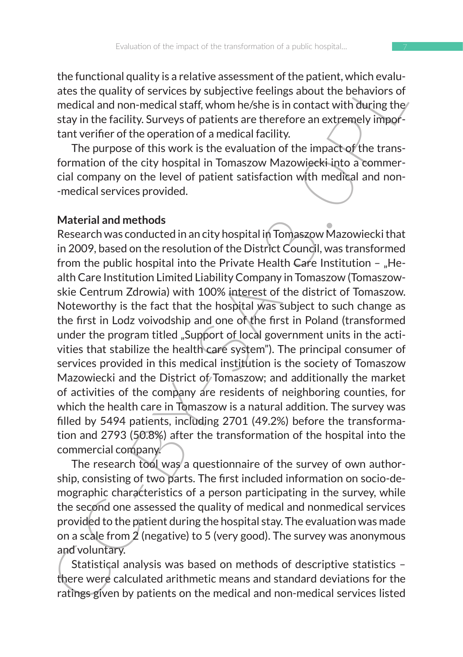the functional quality is a relative assessment of the patient, which evaluates the quality of services by subjective feelings about the behaviors of medical and non-medical staff, whom he/she is in contact with during the stay in the facility. Surveys of patients are therefore an extremely important verifier of the operation of a medical facility.

The purpose of this work is the evaluation of the impact of the transformation of the city hospital in Tomaszow Mazowiecki into a commercial company on the level of patient satisfaction with medical and non- -medical services provided.

### **Material and methods**

the united under the parality is a treative assessment of the patient, with the section and the section of medical and non-medical staff, whom he/she is in contact with during the stay in the facility. Surveys of patients Research was conducted in an city hospital in Tomaszow Mazowiecki that in 2009, based on the resolution of the District Council, was transformed from the public hospital into the Private Health Care Institution  $-$  "Health Care Institution Limited Liability Company in Tomaszow (Tomaszowskie Centrum Zdrowia) with 100% interest of the district of Tomaszow. Noteworthy is the fact that the hospital was subject to such change as the first in Lodz voivodship and one of the first in Poland (transformed under the program titled "Support of local government units in the activities that stabilize the health care system"). The principal consumer of services provided in this medical institution is the society of Tomaszow Mazowiecki and the District of Tomaszow; and additionally the market of activities of the company are residents of neighboring counties, for which the health care in Tomaszow is a natural addition. The survey was filled by 5494 patients, including 2701 (49.2%) before the transformation and 2793 (50.8%) after the transformation of the hospital into the commercial company.

The research tool was a questionnaire of the survey of own authorship, consisting of two parts. The first included information on socio-demographic characteristics of a person participating in the survey, while the second one assessed the quality of medical and nonmedical services provided to the patient during the hospital stay. The evaluation was made on a scale from 2 (negative) to 5 (very good). The survey was anonymous and voluntary.

Statistical analysis was based on methods of descriptive statistics – there were calculated arithmetic means and standard deviations for the ratings given by patients on the medical and non-medical services listed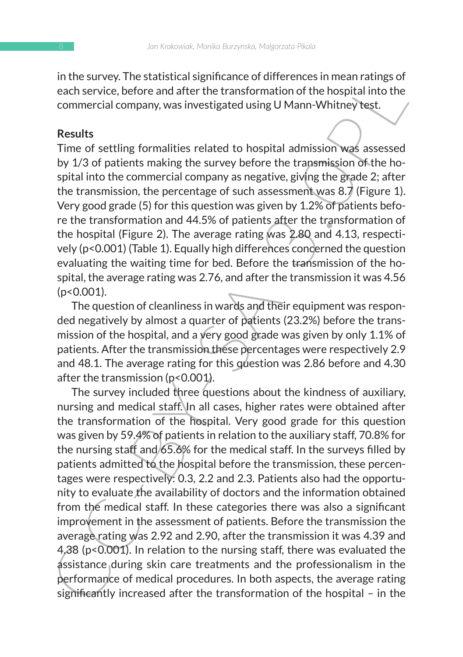in the survey. The statistical significance of differences in mean ratings of each service, before and after the transformation of the hospital into the commercial company, was investigated using U Mann-Whitney test.

#### **Results**

Time of settling formalities related to hospital admission was assessed by 1/3 of patients making the survey before the transmission of the hospital into the commercial company as negative, giving the grade 2; after the transmission, the percentage of such assessment was 8.7 (Figure 1). Very good grade (5) for this question was given by 1.2% of patients before the transformation and 44.5% of patients after the transformation of the hospital (Figure 2). The average rating was 2.80 and 4.13, respectively (p<0.001) (Table 1). Equally high differences concerned the question evaluating the waiting time for bed. Before the transmission of the hospital, the average rating was 2.76, and after the transmission it was 4.56  $(p<0.001)$ .

The question of cleanliness in wards and their equipment was responded negatively by almost a quarter of patients (23.2%) before the transmission of the hospital, and a very good grade was given by only 1.1% of patients. After the transmission these percentages were respectively 2.9 and 48.1. The average rating for this question was 2.86 before and 4.30 after the transmission (p<0.001).

In us abuse v. The statistical signinal atto the measure of methels in measure and strevice, before and differ the transformation of the hospital into the commercial company, was investigated using U Mann-Whitney best.<br> The survey included three questions about the kindness of auxiliary, nursing and medical staff. In all cases, higher rates were obtained after the transformation of the hospital. Very good grade for this question was given by 59.4% of patients in relation to the auxiliary staff, 70.8% for the nursing staff and 65.6% for the medical staff. In the surveys filled by patients admitted to the hospital before the transmission, these percentages were respectively: 0.3, 2.2 and 2.3. Patients also had the opportunity to evaluate the availability of doctors and the information obtained from the medical staff. In these categories there was also a significant improvement in the assessment of patients. Before the transmission the average rating was 2.92 and 2.90, after the transmission it was 4.39 and 4.38 (p<0.001). In relation to the nursing staff, there was evaluated the assistance during skin care treatments and the professionalism in the performance of medical procedures. In both aspects, the average rating significantly increased after the transformation of the hospital – in the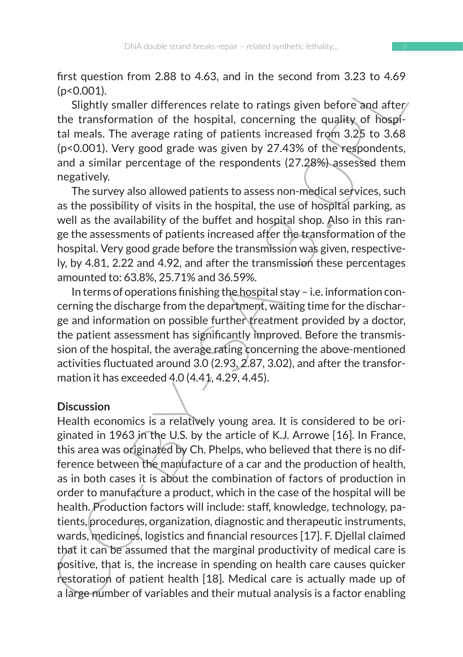first question from 2.88 to 4.63, and in the second from 3.23 to 4.69 (p<0.001).

Slightly smaller differences relate to ratings given before and after/ the transformation of the hospital, concerning the quality of hospital meals. The average rating of patients increased from 3.25 to 3.68 (p<0.001). Very good grade was given by 27.43% of the respondents, and a similar percentage of the respondents (27.28%) assessed them negatively.

The survey also allowed patients to assess non-medical services, such as the possibility of visits in the hospital, the use of hospital parking, as well as the availability of the buffet and hospital shop. Also in this range the assessments of patients increased after the transformation of the hospital. Very good grade before the transmission was given, respectively, by 4.81, 2.22 and 4.92, and after the transmission these percentages amounted to: 63.8%, 25.71% and 36.59%.

In terms of operations finishing the hospital stay – i.e. information concerning the discharge from the department, waiting time for the discharge and information on possible further treatment provided by a doctor, the patient assessment has significantly improved. Before the transmission of the hospital, the average rating concerning the above-mentioned activities fluctuated around 3.0 (2.93, 2.87, 3.02), and after the transformation it has exceeded 4.0 (4.41, 4.29, 4.45).

### **Discussion**

In the second infinitence select to rating given before and they can denoted the rank (p<0.001).<br>
Slightly smaller differences relate to rating given before and after the transformation of the hospital, concerning the qua Health economics is a relatively young area. It is considered to be originated in 1963 in the U.S. by the article of K.J. Arrowe [16]. In France, this area was originated by Ch. Phelps, who believed that there is no difference between the manufacture of a car and the production of health, as in both cases it is about the combination of factors of production in order to manufacture a product, which in the case of the hospital will be health. Production factors will include: staff, knowledge, technology, patients, procedures, organization, diagnostic and therapeutic instruments, wards, medicines, logistics and financial resources [17]. F. Djellal claimed that it can be assumed that the marginal productivity of medical care is positive, that is, the increase in spending on health care causes quicker restoration of patient health [18]. Medical care is actually made up of a large number of variables and their mutual analysis is a factor enabling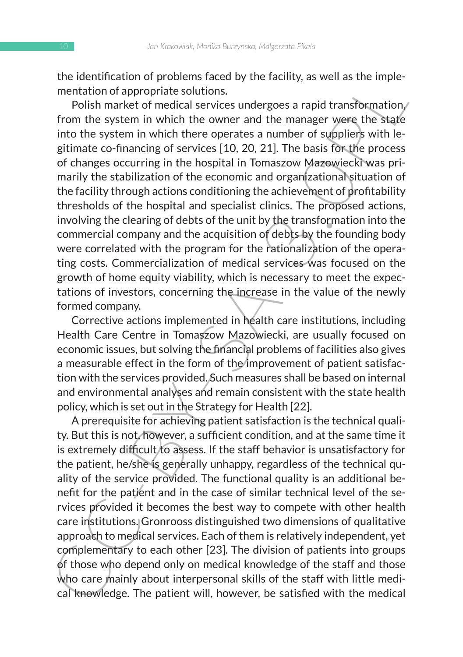the identification of problems faced by the facility, as well as the implementation of appropriate solutions.

the nontinuotive problems lacted by the lacting, as well as the implementation of appropriate solutions.<br>
Polish market of medical services under earlier stars the member of styplines in the system in which the overa rand Polish market of medical services undergoes a rapid transformation. from the system in which the owner and the manager were the state into the system in which there operates a number of suppliers with legitimate co-financing of services [10, 20, 21]. The basis for the process of changes occurring in the hospital in Tomaszow Mazowiecki was primarily the stabilization of the economic and organizational situation of the facility through actions conditioning the achievement of profitability thresholds of the hospital and specialist clinics. The proposed actions, involving the clearing of debts of the unit by the transformation into the commercial company and the acquisition of debts by the founding body were correlated with the program for the rationalization of the operating costs. Commercialization of medical services was focused on the growth of home equity viability, which is necessary to meet the expectations of investors, concerning the increase in the value of the newly formed company.

Corrective actions implemented in health care institutions, including Health Care Centre in Tomaszow Mazowiecki, are usually focused on economic issues, but solving the financial problems of facilities also gives a measurable effect in the form of the improvement of patient satisfaction with the services provided. Such measures shall be based on internal and environmental analyses and remain consistent with the state health policy, which is set out in the Strategy for Health [22].

A prerequisite for achieving patient satisfaction is the technical quality. But this is not, however, a sufficient condition, and at the same time it is extremely difficult to assess. If the staff behavior is unsatisfactory for the patient, he/she is generally unhappy, regardless of the technical quality of the service provided. The functional quality is an additional benefit for the patient and in the case of similar technical level of the services provided it becomes the best way to compete with other health care institutions. Gronrooss distinguished two dimensions of qualitative approach to medical services. Each of them is relatively independent, yet complementary to each other [23]. The division of patients into groups of those who depend only on medical knowledge of the staff and those who care mainly about interpersonal skills of the staff with little medical knowledge. The patient will, however, be satisfied with the medical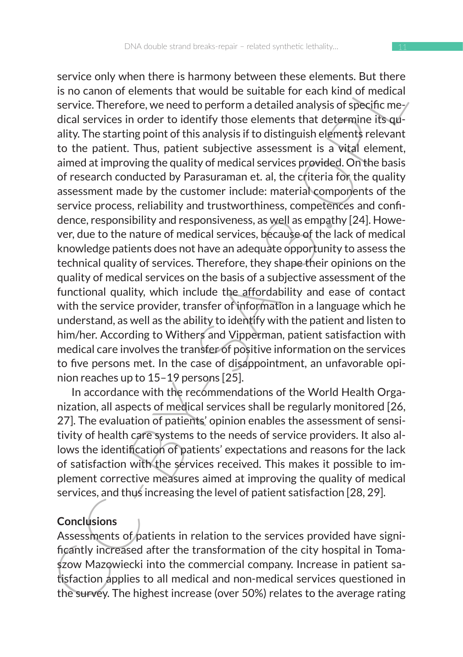service only women tonetes harminoly between these enements. Bot utere<br>sinco canon of elements that would be suitable for each kind of medical<br>service. Therefore, we need to perform a detailed analysis of specific me-<br>dica service only when there is harmony between these elements. But there is no canon of elements that would be suitable for each kind of medical service. Therefore, we need to perform a detailed analysis of specific medical services in order to identify those elements that determine its quality. The starting point of this analysis if to distinguish elements relevant to the patient. Thus, patient subjective assessment is a vital element, aimed at improving the quality of medical services provided. On the basis of research conducted by Parasuraman et. al, the criteria for the quality assessment made by the customer include: material components of the service process, reliability and trustworthiness, competences and confidence, responsibility and responsiveness, as well as empathy [24]. However, due to the nature of medical services, because of the lack of medical knowledge patients does not have an adequate opportunity to assess the technical quality of services. Therefore, they shape their opinions on the quality of medical services on the basis of a subjective assessment of the functional quality, which include the affordability and ease of contact with the service provider, transfer of information in a language which he understand, as well as the ability to identify with the patient and listen to him/her. According to Withers and Vipperman, patient satisfaction with medical care involves the transfer of positive information on the services to five persons met. In the case of disappointment, an unfavorable opinion reaches up to 15–19 persons [25].

In accordance with the recommendations of the World Health Organization, all aspects of medical services shall be regularly monitored [26, 27]. The evaluation of patients' opinion enables the assessment of sensitivity of health care systems to the needs of service providers. It also allows the identification of patients' expectations and reasons for the lack of satisfaction with the services received. This makes it possible to implement corrective measures aimed at improving the quality of medical services, and thus increasing the level of patient satisfaction [28, 29].

## **Conclusions**

Assessments of patients in relation to the services provided have significantly increased after the transformation of the city hospital in Tomaszow Mazowiecki into the commercial company. Increase in patient satisfaction applies to all medical and non-medical services questioned in the survey. The highest increase (over 50%) relates to the average rating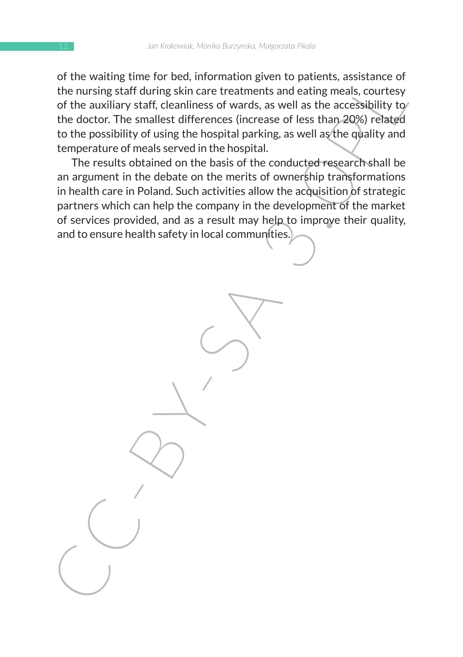of the waiting time for bed, information given to patients, assistance of the nursing staff during skin care treatments and eating meals, courtesy of the auxiliary staff, cleanliness of wards, as well as the accessibility to the doctor. The smallest differences (increase of less than 20%) related to the possibility of using the hospital parking, as well as the quality and temperature of meals served in the hospital.

of the auxiliary the lottom and the must must be particularly and the musing staff during skin care treatments and eating meals, courtesy of the auxiliary staff, cleanliness of wards, as well as the accessibility to the do The results obtained on the basis of the conducted research shall be an argument in the debate on the merits of ownership transformations in health care in Poland. Such activities allow the acquisition of strategic partners which can help the company in the development of the market of services provided, and as a result may help to improve their quality, and to ensure health safety in local communities.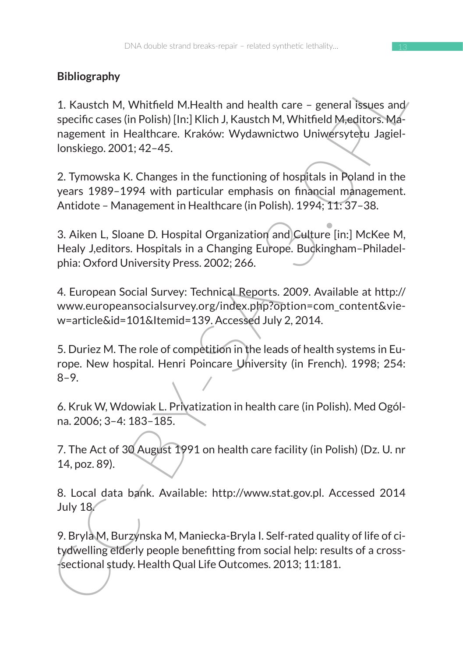# **Bibliography**

Support at M. Whitfield M.Health and health care – general issues and<br>
2. Kaustch M, Whitfield M.Health and health care – general issues and<br>
nagement in Healthcare. Kraków: Wydawnictwo Universytetu Jagiel-<br>
ionskiego. 200 1. Kaustch M, Whitfield M.Health and health care – general issues and specific cases (in Polish) [In:] Klich J, Kaustch M, Whitfield M,editors. Management in Healthcare. Kraków: Wydawnictwo Uniwersytetu Jagiellonskiego. 2001; 42–45.

2. Tymowska K. Changes in the functioning of hospitals in Poland in the years 1989–1994 with particular emphasis on financial management. Antidote – Management in Healthcare (in Polish). 1994; 11: 37–38.

3. Aiken L, Sloane D. Hospital Organization and Culture [in:] McKee M, Healy J,editors. Hospitals in a Changing Europe. Buckingham–Philadelphia: Oxford University Press. 2002; 266.

4. European Social Survey: Technical Reports. 2009. Available at http:// www.europeansocialsurvey.org/index.php?option=com\_content&view=article&id=101&Itemid=139. Accessed July 2, 2014.

5. Duriez M. The role of competition in the leads of health systems in Europe. New hospital. Henri Poincare University (in French). 1998; 254: 8–9.

6. Kruk W, Wdowiak L. Privatization in health care (in Polish). Med Ogólna. 2006; 3–4: 183–185.

7. The Act of 30 August 1991 on health care facility (in Polish) (Dz. U. nr 14, poz. 89).

8. Local data bank. Available: http://www.stat.gov.pl. Accessed 2014 July 18.

9. Bryla M, Burzynska M, Maniecka-Bryla I. Self-rated quality of life of citydwelling elderly people benefitting from social help: results of a cross- -sectional study. Health Qual Life Outcomes. 2013; 11:181.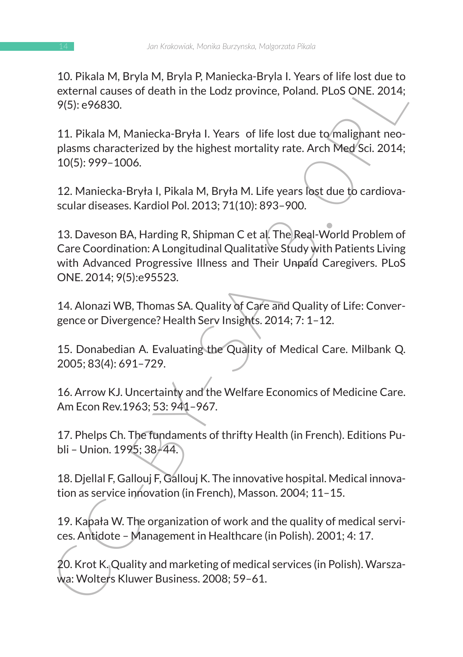10. Pikala M, Bryla M, Bryla P, Maniecka-Bryla I. Years of life lost due to external causes of death in the Lodz province, Poland. PLoS ONE. 2014; 9(5): e96830.

11. Pikala M, Maniecka-Bryła I. Years of life lost due to malignant neoplasms characterized by the highest mortality rate. Arch Med Sci. 2014; 10(5): 999–1006.

12. Maniecka-Bryła I, Pikala M, Bryła M. Life years lost due to cardiovascular diseases. Kardiol Pol. 2013; 71(10): 893–900.

10. Pikala W, biya W, biya P, Walletxa-Briya I. Tears of minista cue to<br>external causes of death in the Lody province, Poland. PLoS ONE. 2014;<br>9(5): e96830.<br>11. Pikala M, Maniecka-Bryta I. Years of life lost due to maligna 13. Daveson BA, Harding R, Shipman C et al. The Real-World Problem of Care Coordination: A Longitudinal Qualitative Study with Patients Living with Advanced Progressive Illness and Their Unpaid Caregivers. PLoS ONE. 2014; 9(5):e95523.

14. Alonazi WB, Thomas SA. Quality of Care and Quality of Life: Convergence or Divergence? Health Serv Insights. 2014; 7: 1–12.

15. Donabedian A. Evaluating the Quality of Medical Care. Milbank Q. 2005; 83(4): 691–729.

16. Arrow KJ. Uncertainty and the Welfare Economics of Medicine Care. Am Econ Rev.1963; 53: 941–967.

17. Phelps Ch. The fundaments of thrifty Health (in French). Editions Publi – Union. 1995; 38–44.

18. Djellal F, Gallouj F, Gallouj K. The innovative hospital. Medical innovation as service innovation (in French), Masson. 2004; 11–15.

19. Kapała W. The organization of work and the quality of medical services. Antidote – Management in Healthcare (in Polish). 2001; 4: 17.

20. Krot K. Quality and marketing of medical services (in Polish). Warszawa: Wolters Kluwer Business. 2008; 59–61.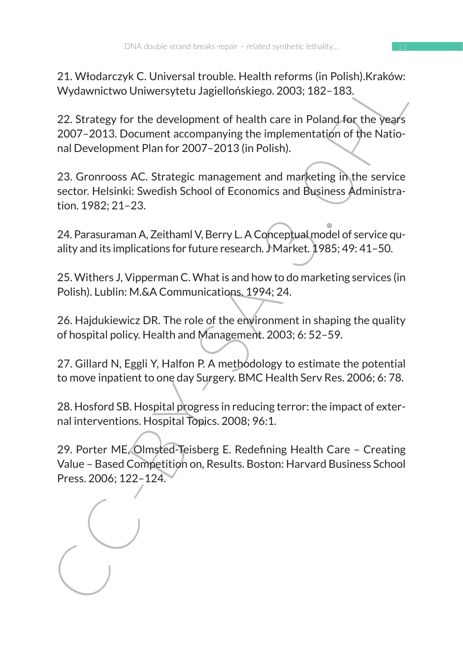21. Włodarczyk C. Universal trouble. Health reforms (in Polish).Kraków: Wydawnictwo Uniwersytetu Jagiellońskiego. 2003; 182–183.

22. Strategy for the development of health care in Poland for the years 2007–2013. Document accompanying the implementation of the National Development Plan for 2007–2013 (in Polish).

2.1. Would Czyk C. Universal troutie. Health Care Team Ferrinns (in Proinsing, Krakow,<br>2.1. Wordwintch Ohiversytetu Jagiellonskiego. 2003; 182-183.<br>22. Strategy for the development of health care in Poland for the Years<br>20 23. Gronrooss AC. Strategic management and marketing in the service sector. Helsinki: Swedish School of Economics and Business Administration. 1982; 21–23.

24. Parasuraman A, Zeithaml V, Berry L. A Conceptual model of service quality and its implications for future research. Market. 1985; 49: 41-50.

25. Withers J, Vipperman C. What is and how to do marketing services (in Polish). Lublin: M.&A Communications. 1994; 24.

26. Hajdukiewicz DR. The role of the environment in shaping the quality of hospital policy. Health and Management. 2003; 6: 52–59.

27. Gillard N, Eggli Y, Halfon P. A methodology to estimate the potential to move inpatient to one day Surgery. BMC Health Serv Res. 2006; 6: 78.

28. Hosford SB. Hospital progress in reducing terror: the impact of external interventions. Hospital Topics. 2008; 96:1.

29. Porter ME, Olmsted-Teisberg E. Redefining Health Care – Creating Value – Based Competition on, Results. Boston: Harvard Business School Press. 2006; 122–124.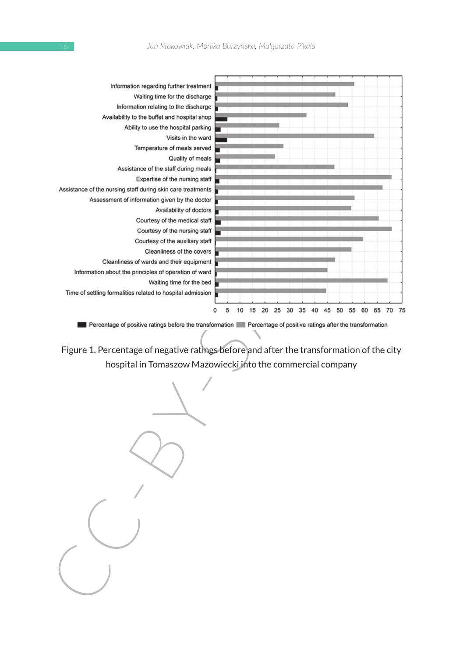| Information regarding further treatment<br>Waiting time for the discharge |                                                                                                                                                                                                                                                                             |
|---------------------------------------------------------------------------|-----------------------------------------------------------------------------------------------------------------------------------------------------------------------------------------------------------------------------------------------------------------------------|
|                                                                           |                                                                                                                                                                                                                                                                             |
|                                                                           |                                                                                                                                                                                                                                                                             |
| Information relating to the discharge                                     |                                                                                                                                                                                                                                                                             |
| Availability to the buffet and hospital shop                              |                                                                                                                                                                                                                                                                             |
| Ability to use the hospital parking                                       |                                                                                                                                                                                                                                                                             |
| Visits in the ward                                                        |                                                                                                                                                                                                                                                                             |
| Temperature of meals served                                               |                                                                                                                                                                                                                                                                             |
| Quality of meals                                                          |                                                                                                                                                                                                                                                                             |
| Assistance of the staff during meals                                      |                                                                                                                                                                                                                                                                             |
| Expertise of the nursing staff                                            |                                                                                                                                                                                                                                                                             |
| Assistance of the nursing staff during skin care treatments               |                                                                                                                                                                                                                                                                             |
| Assessment of information given by the doctor                             |                                                                                                                                                                                                                                                                             |
| Availability of doctors                                                   |                                                                                                                                                                                                                                                                             |
| Courtesy of the medical staff                                             |                                                                                                                                                                                                                                                                             |
| Courtesy of the nursing staff                                             |                                                                                                                                                                                                                                                                             |
| Courtesy of the auxiliary staff                                           |                                                                                                                                                                                                                                                                             |
| Cleanliness of the covers                                                 |                                                                                                                                                                                                                                                                             |
| Cleanliness of wards and their equipment                                  |                                                                                                                                                                                                                                                                             |
| Information about the principles of operation of ward                     |                                                                                                                                                                                                                                                                             |
| Waiting time for the bed                                                  |                                                                                                                                                                                                                                                                             |
| Time of settling formalities related to hospital admission                |                                                                                                                                                                                                                                                                             |
|                                                                           | 0<br>5<br>10<br>15<br>20<br>25<br>30<br>35<br>40<br>45<br>50<br>55<br>60<br>65<br>70<br>75                                                                                                                                                                                  |
|                                                                           | Percentage of positive ratings before the transformation Percentage of positive ratings after the transformation<br>Figure 1. Percentage of negative ratings before and after the transformation of the city<br>hospital in Tomaszow Mazowiecki into the commercial company |
|                                                                           |                                                                                                                                                                                                                                                                             |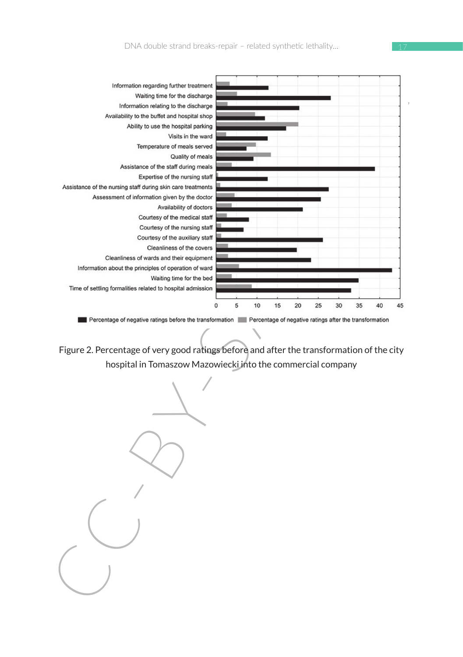

Figure 2. Percentage of very good ratings before and after the transformation of the city hospital in Tomaszow Mazowiecki into the commercial company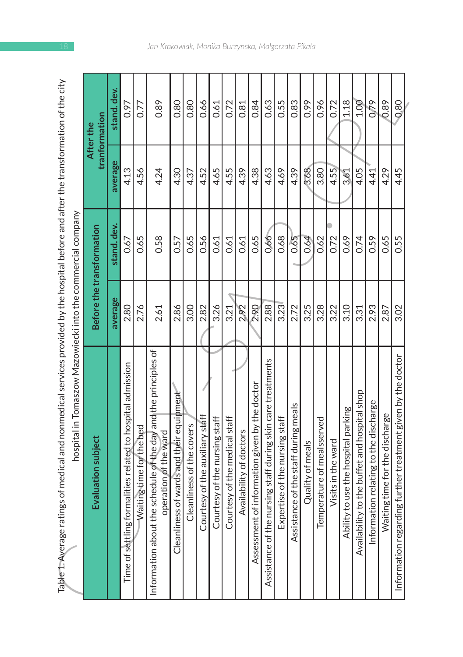| Table 1. Average ratings of medical and nonmedical services provided by the hospital before and after the transformation of the city<br>hospital in Tomaszow Mazowiecki into the commercial company |         |                           |         |                            |
|-----------------------------------------------------------------------------------------------------------------------------------------------------------------------------------------------------|---------|---------------------------|---------|----------------------------|
| Evaluation subject                                                                                                                                                                                  |         | Before the transformation |         | tranformation<br>After the |
|                                                                                                                                                                                                     | average | stand. dev.               | average | stand. dev.                |
| formalities related to hospital admission<br>Time of settling                                                                                                                                       | 2.80    | 0.67                      | 4.13    | 0.97                       |
| Waiting time for the bed                                                                                                                                                                            | 2.76    | 0.65                      | 4.56    | 0.77                       |
| the schedule of the day and the principles of<br>operation of the ward<br>Information about                                                                                                         | 2.61    | 0.58                      | 4.24    | 0.89                       |
| Cleanliness of wards and their equipment                                                                                                                                                            | 2.86    | 0.57                      | 4.30    | 0.80                       |
| Cleanliness of the covers                                                                                                                                                                           | 3.00    | 0.65                      | 4.37    | 0.80                       |
| Courtesy of the auxiliary staff                                                                                                                                                                     | 2.82    | 0.56                      | 4.52    | 0.66                       |
| Courtesy of the nursing staff                                                                                                                                                                       | 3.26    | 0.61                      | 4.65    | 0.61                       |
| Courtesy of the medical staff                                                                                                                                                                       | 3.21    | 0.61                      | 4.55    | 0.72                       |
| Availability of doctors                                                                                                                                                                             | 292     | 0.61                      | 4.39    | 0.81                       |
| it of information given by the doctor<br>Assessmer                                                                                                                                                  | 2.90    | 0.65                      | 4.38    | 0.84                       |
| Assistance of the nursing staff during skin care treatments                                                                                                                                         | 2.88    | 0.66                      | 4.63    | 0.63                       |
| Expertise of the nursing staff                                                                                                                                                                      | 3.23    | 0.68                      | 4.69    | 0.55                       |
| Assistance of the staff during meals                                                                                                                                                                | 2.72    | 0.65                      | 4.39    | 0.83                       |
| Quality of meals                                                                                                                                                                                    | 3.25    | 0.64                      | 3.68    | 0.99                       |
| Temperature of mealsserved                                                                                                                                                                          | 3.28    | 0.62                      | 3.80    | 0.96                       |
| Visits in the ward                                                                                                                                                                                  | 3.22    | 0.72                      | 4.55    | 0.72                       |
| ity to use the hospital parking<br>Abili                                                                                                                                                            | 3.10    | 0.69                      | 3.61    | 1.18                       |
| lity to the buffet and hospital shop<br>Availabi                                                                                                                                                    | 3.31    | 0.74                      | 4.05    | 1.00                       |
| Information relating to the discharge                                                                                                                                                               | 2.93    | 0.59                      | 4.41    | 0.79                       |
| Waiting time for the discharge                                                                                                                                                                      | 2.87    | 0.65                      | 4.29    | 0.89                       |
| Information regarding further treatment given by the doctor                                                                                                                                         | 3.02    | 0.55                      | 4.45    | 0.80                       |
|                                                                                                                                                                                                     |         |                           |         |                            |